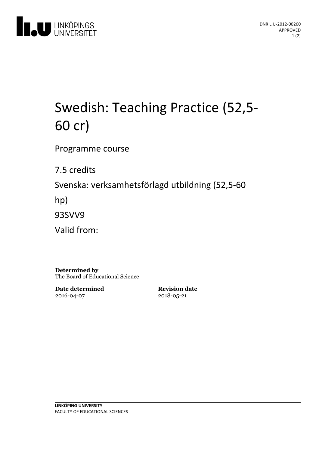

# Swedish: Teaching Practice (52,5-60 cr)

Programme course

7.5 credits

Svenska: verksamhetsförlagd utbildning(52,5-60

hp)

93SVV9

Valid from:

**Determined by** The Board of Educational Science

**Date determined** 2016-04-07

**Revision date** 2018-05-21